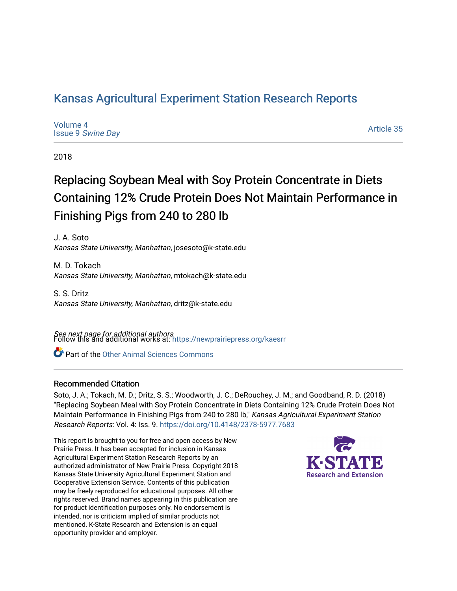## [Kansas Agricultural Experiment Station Research Reports](https://newprairiepress.org/kaesrr)

[Volume 4](https://newprairiepress.org/kaesrr/vol4) Issue 9 [Swine Day](https://newprairiepress.org/kaesrr/vol4/iss9)

[Article 35](https://newprairiepress.org/kaesrr/vol4/iss9/35) 

2018

## Replacing Soybean Meal with Soy Protein Concentrate in Diets Containing 12% Crude Protein Does Not Maintain Performance in Finishing Pigs from 240 to 280 lb

J. A. Soto Kansas State University, Manhattan, josesoto@k-state.edu

M. D. Tokach Kansas State University, Manhattan, mtokach@k-state.edu

S. S. Dritz Kansas State University, Manhattan, dritz@k-state.edu

**See next page for additional authors**<br>Follow this and additional works at: https://newprairiepress.org/kaesrr

Part of the [Other Animal Sciences Commons](http://network.bepress.com/hgg/discipline/82?utm_source=newprairiepress.org%2Fkaesrr%2Fvol4%2Fiss9%2F35&utm_medium=PDF&utm_campaign=PDFCoverPages)

## Recommended Citation

Soto, J. A.; Tokach, M. D.; Dritz, S. S.; Woodworth, J. C.; DeRouchey, J. M.; and Goodband, R. D. (2018) "Replacing Soybean Meal with Soy Protein Concentrate in Diets Containing 12% Crude Protein Does Not Maintain Performance in Finishing Pigs from 240 to 280 lb," Kansas Agricultural Experiment Station Research Reports: Vol. 4: Iss. 9.<https://doi.org/10.4148/2378-5977.7683>

This report is brought to you for free and open access by New Prairie Press. It has been accepted for inclusion in Kansas Agricultural Experiment Station Research Reports by an authorized administrator of New Prairie Press. Copyright 2018 Kansas State University Agricultural Experiment Station and Cooperative Extension Service. Contents of this publication may be freely reproduced for educational purposes. All other rights reserved. Brand names appearing in this publication are for product identification purposes only. No endorsement is intended, nor is criticism implied of similar products not mentioned. K-State Research and Extension is an equal opportunity provider and employer.

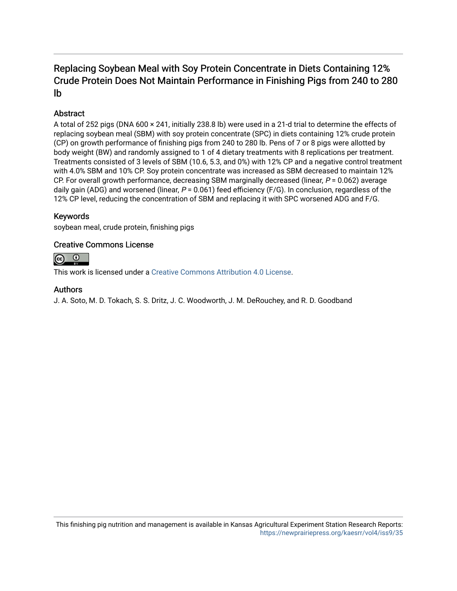## Replacing Soybean Meal with Soy Protein Concentrate in Diets Containing 12% Crude Protein Does Not Maintain Performance in Finishing Pigs from 240 to 280 lb

## **Abstract**

A total of 252 pigs (DNA 600 × 241, initially 238.8 lb) were used in a 21-d trial to determine the effects of replacing soybean meal (SBM) with soy protein concentrate (SPC) in diets containing 12% crude protein (CP) on growth performance of finishing pigs from 240 to 280 lb. Pens of 7 or 8 pigs were allotted by body weight (BW) and randomly assigned to 1 of 4 dietary treatments with 8 replications per treatment. Treatments consisted of 3 levels of SBM (10.6, 5.3, and 0%) with 12% CP and a negative control treatment with 4.0% SBM and 10% CP. Soy protein concentrate was increased as SBM decreased to maintain 12% CP. For overall growth performance, decreasing SBM marginally decreased (linear,  $P = 0.062$ ) average daily gain (ADG) and worsened (linear,  $P = 0.061$ ) feed efficiency (F/G). In conclusion, regardless of the 12% CP level, reducing the concentration of SBM and replacing it with SPC worsened ADG and F/G.

## Keywords

soybean meal, crude protein, finishing pigs

## Creative Commons License

 $\odot$ 

This work is licensed under a [Creative Commons Attribution 4.0 License](https://creativecommons.org/licenses/by/4.0/).

## Authors

J. A. Soto, M. D. Tokach, S. S. Dritz, J. C. Woodworth, J. M. DeRouchey, and R. D. Goodband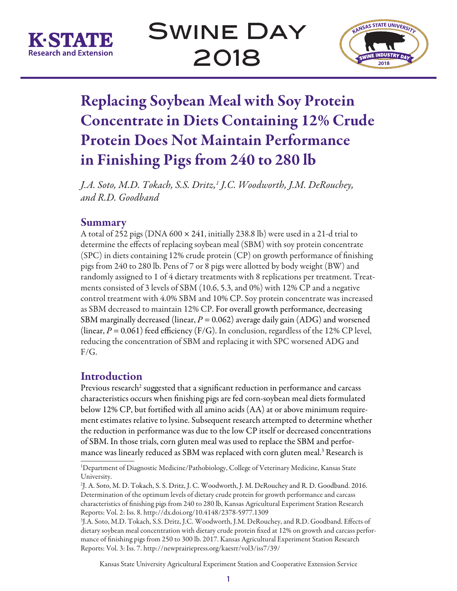



# Replacing Soybean Meal with Soy Protein Concentrate in Diets Containing 12% Crude Protein Does Not Maintain Performance in Finishing Pigs from 240 to 280 lb

*J.A. Soto, M.D. Tokach, S.S. Dritz,1 J.C. Woodworth, J.M. DeRouchey, and R.D. Goodband*

## Summary

A total of 252 pigs (DNA 600 × 241, initially 238.8 lb) were used in a 21-d trial to determine the effects of replacing soybean meal (SBM) with soy protein concentrate (SPC) in diets containing 12% crude protein (CP) on growth performance of finishing pigs from 240 to 280 lb. Pens of 7 or 8 pigs were allotted by body weight (BW) and randomly assigned to 1 of 4 dietary treatments with 8 replications per treatment. Treatments consisted of 3 levels of SBM (10.6, 5.3, and 0%) with 12% CP and a negative control treatment with 4.0% SBM and 10% CP. Soy protein concentrate was increased as SBM decreased to maintain 12% CP. For overall growth performance, decreasing SBM marginally decreased (linear, *P =* 0.062) average daily gain (ADG) and worsened (linear, *P =* 0.061) feed efficiency (F/G). In conclusion, regardless of the 12% CP level, reducing the concentration of SBM and replacing it with SPC worsened ADG and  $F/G$ .

## Introduction

Previous research<sup>2</sup> suggested that a significant reduction in performance and carcass characteristics occurs when finishing pigs are fed corn-soybean meal diets formulated below 12% CP, but fortified with all amino acids (AA) at or above minimum requirement estimates relative to lysine. Subsequent research attempted to determine whether the reduction in performance was due to the low CP itself or decreased concentrations of SBM. In those trials, corn gluten meal was used to replace the SBM and performance was linearly reduced as SBM was replaced with corn gluten meal.<sup>3</sup> Research is

Kansas State University Agricultural Experiment Station and Cooperative Extension Service

<sup>1</sup> Department of Diagnostic Medicine/Pathobiology, College of Veterinary Medicine, Kansas State University.

<sup>2</sup> J. A. Soto, M. D. Tokach, S. S. Dritz, J. C. Woodworth, J. M. DeRouchey and R. D. Goodband. 2016. Determination of the optimum levels of dietary crude protein for growth performance and carcass characteristics of finishing pigs from 240 to 280 lb, Kansas Agricultural Experiment Station Research Reports: Vol. 2: Iss. 8. http://dx.doi.org/10.4148/2378-5977.1309

<sup>3</sup> J.A. Soto, M.D. Tokach, S.S. Dritz, J.C. Woodworth, J.M. DeRouchey, and R.D. Goodband. Effects of dietary soybean meal concentration with dietary crude protein fixed at 12% on growth and carcass performance of finishing pigs from 250 to 300 lb. 2017. Kansas Agricultural Experiment Station Research Reports: Vol. 3: Iss. 7. http://newprairiepress.org/kaesrr/vol3/iss7/39/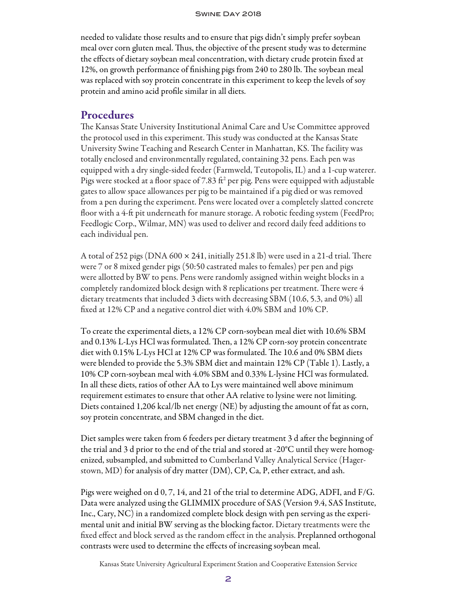needed to validate those results and to ensure that pigs didn't simply prefer soybean meal over corn gluten meal. Thus, the objective of the present study was to determine the effects of dietary soybean meal concentration, with dietary crude protein fixed at 12%, on growth performance of finishing pigs from 240 to 280 lb. The soybean meal was replaced with soy protein concentrate in this experiment to keep the levels of soy protein and amino acid profile similar in all diets.

## Procedures

The Kansas State University Institutional Animal Care and Use Committee approved the protocol used in this experiment. This study was conducted at the Kansas State University Swine Teaching and Research Center in Manhattan, KS. The facility was totally enclosed and environmentally regulated, containing 32 pens. Each pen was equipped with a dry single-sided feeder (Farmweld, Teutopolis, IL) and a 1-cup waterer. Pigs were stocked at a floor space of 7.83 ft<sup>2</sup> per pig. Pens were equipped with adjustable gates to allow space allowances per pig to be maintained if a pig died or was removed from a pen during the experiment. Pens were located over a completely slatted concrete floor with a 4-ft pit underneath for manure storage. A robotic feeding system (FeedPro; Feedlogic Corp., Wilmar, MN) was used to deliver and record daily feed additions to each individual pen.

A total of 252 pigs (DNA 600 × 241, initially 251.8 lb) were used in a 21-d trial. There were 7 or 8 mixed gender pigs (50:50 castrated males to females) per pen and pigs were allotted by BW to pens. Pens were randomly assigned within weight blocks in a completely randomized block design with 8 replications per treatment. There were 4 dietary treatments that included 3 diets with decreasing SBM (10.6, 5.3, and 0%) all fixed at 12% CP and a negative control diet with 4.0% SBM and 10% CP.

To create the experimental diets, a 12% CP corn-soybean meal diet with 10.6% SBM and 0.13% L-Lys HCl was formulated. Then, a 12% CP corn-soy protein concentrate diet with 0.15% L-Lys HCl at 12% CP was formulated. The 10.6 and 0% SBM diets were blended to provide the 5.3% SBM diet and maintain 12% CP (Table 1). Lastly, a 10% CP corn-soybean meal with 4.0% SBM and 0.33% L-lysine HCl was formulated. In all these diets, ratios of other AA to Lys were maintained well above minimum requirement estimates to ensure that other AA relative to lysine were not limiting. Diets contained 1,206 kcal/lb net energy (NE) by adjusting the amount of fat as corn, soy protein concentrate, and SBM changed in the diet.

Diet samples were taken from 6 feeders per dietary treatment 3 d after the beginning of the trial and 3 d prior to the end of the trial and stored at -20°C until they were homogenized, subsampled, and submitted to Cumberland Valley Analytical Service (Hagerstown, MD) for analysis of dry matter (DM), CP, Ca, P, ether extract, and ash.

Pigs were weighed on d 0, 7, 14, and 21 of the trial to determine ADG, ADFI, and F/G. Data were analyzed using the GLIMMIX procedure of SAS (Version 9.4, SAS Institute, Inc., Cary, NC) in a randomized complete block design with pen serving as the experimental unit and initial BW serving as the blocking factor. Dietary treatments were the fixed effect and block served as the random effect in the analysis. Preplanned orthogonal contrasts were used to determine the effects of increasing soybean meal.

Kansas State University Agricultural Experiment Station and Cooperative Extension Service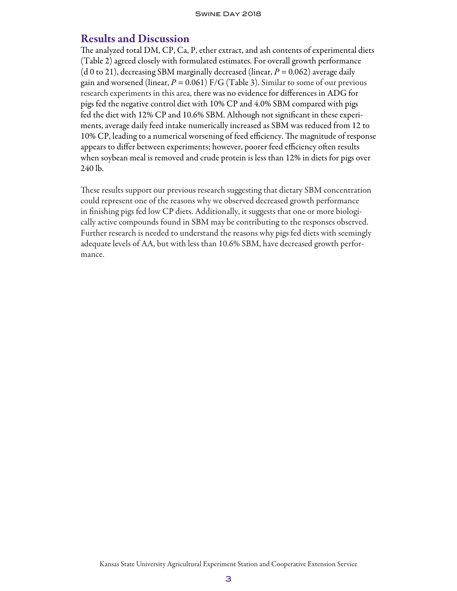## Results and Discussion

The analyzed total DM, CP, Ca, P, ether extract, and ash contents of experimental diets (Table 2) agreed closely with formulated estimates. For overall growth performance (d 0 to 21), decreasing SBM marginally decreased (linear, *P =* 0.062) average daily gain and worsened (linear,  $P = 0.061$ ) F/G (Table 3). Similar to some of our previous research experiments in this area, there was no evidence for differences in ADG for pigs fed the negative control diet with 10% CP and 4.0% SBM compared with pigs fed the diet with 12% CP and 10.6% SBM. Although not significant in these experiments, average daily feed intake numerically increased as SBM was reduced from 12 to 10% CP, leading to a numerical worsening of feed efficiency. The magnitude of response appears to differ between experiments; however, poorer feed efficiency often results when soybean meal is removed and crude protein is less than 12% in diets for pigs over 240 lb.

These results support our previous research suggesting that dietary SBM concentration could represent one of the reasons why we observed decreased growth performance in finishing pigs fed low CP diets. Additionally, it suggests that one or more biologically active compounds found in SBM may be contributing to the responses observed. Further research is needed to understand the reasons why pigs fed diets with seemingly adequate levels of AA, but with less than 10.6% SBM, have decreased growth performance.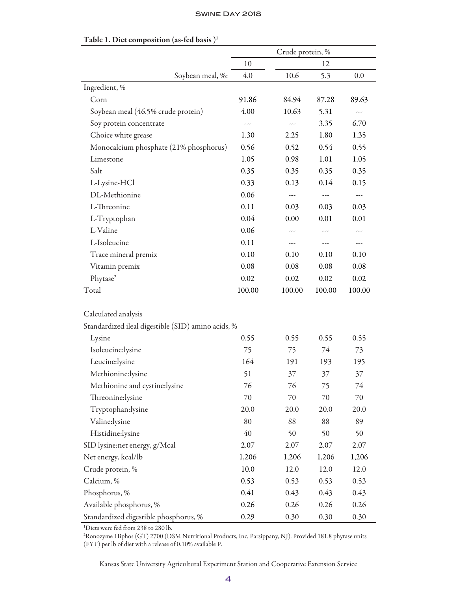|                                                    | Crude protein, % |        |        |        |  |
|----------------------------------------------------|------------------|--------|--------|--------|--|
|                                                    | 10               | 12     |        |        |  |
| Soybean meal, %:                                   | 4.0              | 10.6   | 5.3    | 0.0    |  |
| Ingredient, %                                      |                  |        |        |        |  |
| Corn                                               | 91.86            | 84.94  | 87.28  | 89.63  |  |
| Soybean meal (46.5% crude protein)                 | 4.00             | 10.63  | 5.31   |        |  |
| Soy protein concentrate                            | ---              | ---    | 3.35   | 6.70   |  |
| Choice white grease                                | 1.30             | 2.25   | 1.80   | 1.35   |  |
| Monocalcium phosphate (21% phosphorus)             | 0.56             | 0.52   | 0.54   | 0.55   |  |
| Limestone                                          | 1.05             | 0.98   | 1.01   | 1.05   |  |
| Salt                                               | 0.35             | 0.35   | 0.35   | 0.35   |  |
| L-Lysine-HCl                                       | 0.33             | 0.13   | 0.14   | 0.15   |  |
| DL-Methionine                                      | 0.06             | ---    | ---    | ---    |  |
| L-Threonine                                        | 0.11             | 0.03   | 0.03   | 0.03   |  |
| L-Tryptophan                                       | 0.04             | 0.00   | 0.01   | 0.01   |  |
| L-Valine                                           | 0.06             |        |        |        |  |
| L-Isoleucine                                       | 0.11             | ---    | ---    | ---    |  |
| Trace mineral premix                               | 0.10             | 0.10   | 0.10   | 0.10   |  |
| Vitamin premix                                     | 0.08             | 0.08   | 0.08   | 0.08   |  |
| Phytase <sup>2</sup>                               | 0.02             | 0.02   | 0.02   | 0.02   |  |
| Total                                              | 100.00           | 100.00 | 100.00 | 100.00 |  |
| Calculated analysis                                |                  |        |        |        |  |
| Standardized ileal digestible (SID) amino acids, % |                  |        |        |        |  |
| Lysine                                             | 0.55             | 0.55   | 0.55   | 0.55   |  |
| Isoleucine:lysine                                  | 75               | 75     | 74     | 73     |  |
| Leucine: lysine                                    | 164              | 191    | 193    | 195    |  |
| Methionine:lysine                                  | 51               | 37     | 37     | 37     |  |
| Methionine and cystine:lysine                      | 76               | 76     | 75     | 74     |  |
| Threonine:lysine                                   | $70\,$           | $70\,$ | 70     | 70     |  |
| Tryptophan:lysine                                  | 20.0             | 20.0   | 20.0   | 20.0   |  |
| Valine:lysine                                      | 80               | 88     | 88     | 89     |  |
| Histidine:lysine                                   | 40               | 50     | 50     | 50     |  |
| SID lysine:net energy, g/Mcal                      | 2.07             | 2.07   | 2.07   | 2.07   |  |
| Net energy, kcal/lb                                | 1,206            | 1,206  | 1,206  | 1,206  |  |
| Crude protein, %                                   | 10.0             | 12.0   | 12.0   | 12.0   |  |
| Calcium, %                                         | 0.53             | 0.53   | 0.53   | 0.53   |  |
| Phosphorus, %                                      | 0.41             | 0.43   | 0.43   | 0.43   |  |
| Available phosphorus, %                            | 0.26             | 0.26   | 0.26   | 0.26   |  |
| Standardized digestible phosphorus, %              | 0.29             | 0.30   | 0.30   | 0.30   |  |

#### Table 1. Diet composition (as-fed basis )1

1 Diets were fed from 238 to 280 lb.

2 Ronozyme Hiphos (GT) 2700 (DSM Nutritional Products, Inc, Parsippany, NJ). Provided 181.8 phytase units (FYT) per lb of diet with a release of 0.10% available P.

Kansas State University Agricultural Experiment Station and Cooperative Extension Service